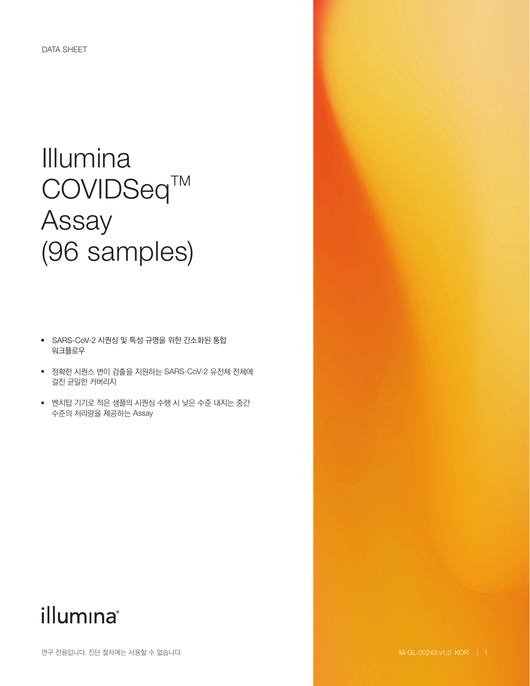# Illumina COVIDSeq™ Assay (96 samples)

- SARS-CoV-2 시퀀싱 및 특성 규명을 위한 간소화된 통합 워크플로우
- 정확한 시퀀스 변이 검출을 지원하는 SARS-CoV-2 유전체 전체에 걸친 균일한 커버리지
- 벤치탑 기기로 적은 샘플의 시퀀싱 수행 시 낮은 수준 내지는 중간 수준의 처리량을 제공하는 Assay

## illumina®

연구 전용입니다. 진단 절차에는 사용할 수 없습니다.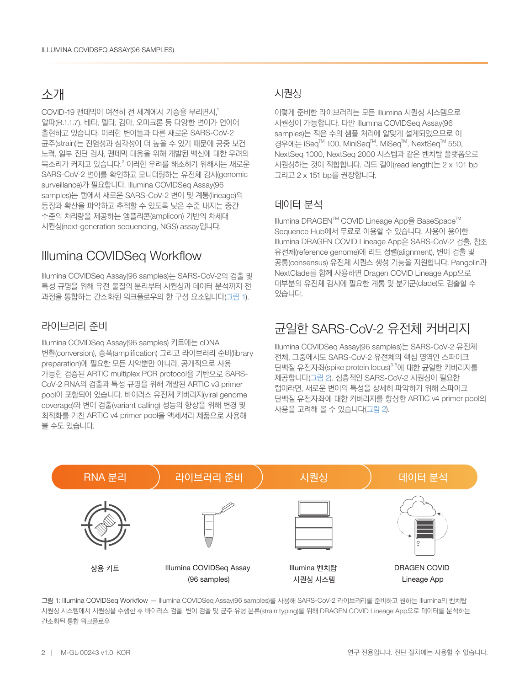#### 소개

COVID-19 팬데믹이 여전히 전 세계에서 기승을 부리면서[,](#page-2-0) 1 알파(B.1.1.7), 베타, 델타, 감마, 오미크론 등 다양한 변이가 연이어 출현하고 있습니다. 이러한 변이들과 다른 새로운 SARS-CoV-2 균주(strain)는 전염성과 심각성이 더 높을 수 있기 때문에 공중 보건 노력, 일부 진단 검사, 팬데믹 대응을 위해 개발된 백신에 대한 우려의 목소리가 커지고 있습니다.<sup>[2](#page-2-1)</sup> 이러한 우려를 해소하기 위해서는 새로운 SARS-CoV-2 변이를 확인하고 모니터링하는 유전체 감시(genomic surveillance)가 필요합니다. Illumina COVIDSeq Assay(96 samples)는 랩에서 새로운 SARS-CoV-2 변이 및 계통(lineage)의 등장과 확산을 파악하고 추적할 수 있도록 낮은 수준 내지는 중간 수준의 처리량을 제공하는 앰플리콘(amplicon) 기반의 차세대 시퀀싱(next-generation sequencing, NGS) assay입니다.

### Illumina COVIDSeq Workflow

Illumina COVIDSeq Assay(96 samples)는 SARS-CoV-2의 검출 및 특성 규명을 위해 유전 물질의 분리부터 시퀀싱과 데이터 분석까지 전 과정을 통합하는 간소화된 워크플로우의 한 구성 요소입니다(그림 1).

#### 라이브러리 준비

Illumina COVIDSeq Assay(96 samples) 키트에는 cDNA 변환(conversion), 증폭(amplification) 그리고 라이브러리 준비(library preparation)에 필요한 모든 시약뿐만 아니라, 공개적으로 사용 가능한 검증된 ARTIC multiplex PCR protocol을 기반으로 SARS-CoV-2 RNA의 검출과 특성 규명을 위해 개발된 ARTIC v3 primer pool이 포함되어 있습니다. 바이러스 유전체 커버리지(viral genome coverage)와 변이 검출(variant calling) 성능의 향상을 위해 변경 및 최적화를 거친 ARTIC v4 primer pool을 액세서리 제품으로 사용해 볼 수도 있습니다.

#### 시퀀싱

이렇게 준비한 라이브러리는 모든 Illumina 시퀀싱 시스템으로 시퀀싱이 가능합니다. 다만 Illumina COVIDSeq Assay(96 samples)는 적은 수의 샘플 처리에 알맞게 설계되었으므로 이 경우에는 iSeq™ 100, MiniSeq™, MiSeq™, NextSeq™ 550, NextSeq 1000, NextSeq 2000 시스템과 같은 벤치탑 플랫폼으로 시퀀싱하는 것이 적합합니다. 리드 길이(read length)는 2 x 101 bp 그리고 2 x 151 bp를 권장합니다.

#### 데이터 분석

Illumina DRAGEN™ COVID Lineage App을 BaseSpace™ Sequence Hub에서 무료로 이용할 수 있습니다. 사용이 용이한 Illumina DRAGEN COVID Lineage App은 SARS-CoV-2 검출, 참조 유전체(reference genome)에 리드 정렬(alignment), 변이 검출 및 공통(consensus) 유전체 시퀀스 생성 기능을 지원합니다. Pangolin과 NextClade를 함께 사용하면 Dragen COVID Lineage App으로 대부분의 유전체 감시에 필요한 계통 및 분기군(clade)도 검출할 수 있습니다.

## 균일한 SARS-CoV-2 유전체 커버리지

Illumina COVIDSeq Assay(96 samples)는 SARS-CoV-2 유전체 전체, 그중에서도 SARS-CoV-2 유전체의 핵심 영역인 스파이크 단백질 유전자좌(spike protein locus)<sup>3[-5](#page-2-3)</sup>에 대한 균일한 커버리지를 제공합니다([그림](#page-2-4) 2). 심층적인 SARS-CoV-2 시퀀싱이 필요한 랩이라면, 새로운 변이의 특성을 상세히 파악하기 위해 스파이크 단백질 유전자좌에 대한 커버리지를 향상한 ARTIC v4 primer pool의 사용을 고려해 볼 수 있습니다([그림](#page-2-4) 2).



그림 1: Illumina COVIDSeq Workflow — Illumina COVIDSeq Assay(96 samples)를 사용해 SARS-CoV-2 라이브러리를 준비하고 원하는 Illumina의 벤치탑 시퀀싱 시스템에서 시퀀싱을 수행한 후 바이러스 검출, 변이 검출 및 균주 유형 분류(strain typing)를 위해 DRAGEN COVID Lineage App으로 데이터를 분석하는 간소화된 통합 워크플로우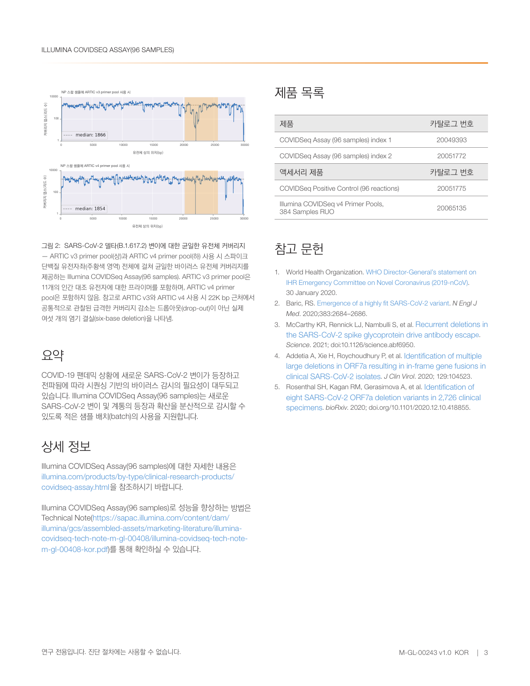<span id="page-2-4"></span>

그림 2: SARS-CoV-2 델타(B.1.617.2) 변이에 대한 균일한 유전체 커버리지 — ARTIC v3 primer pool(상)과 ARTIC v4 primer pool(하) 사용 시 스파이크 단백질 유전자좌(주황색 영역) 전체에 걸쳐 균일한 바이러스 유전체 커버리지를 제공하는 Illumina COVIDSeq Assay(96 samples). ARTIC v3 primer pool은 11개의 인간 대조 유전자에 대한 프라이머를 포함하며, ARTIC v4 primer pool은 포함하지 않음. 참고로 ARTIC v3와 ARTIC v4 사용 시 22K bp 근처에서 공통적으로 관찰된 급격한 커버리지 감소는 드롭아웃(drop-out)이 아닌 실제 여섯 개의 염기 결실(six-base deletion)을 나타냄.

### 요약

COVID-19 팬데믹 상황에 새로운 SARS-CoV-2 변이가 등장하고 전파됨에 따라 시퀀싱 기반의 바이러스 감시의 필요성이 대두되고 있습니다. Illumina COVIDSeq Assay(96 samples)는 새로운 SARS-CoV-2 변이 및 계통의 등장과 확산을 분산적으로 감시할 수 있도록 적은 샘플 배치(batch)의 사용을 지원합니다.

## 상세 정보

Illumina COVIDSeq Assay(96 samples)에 대한 자세한 내용은 [illumina.com/products/by-type/clinical-research-products/](http://www.illumina.com/products/by-type/clinical-research-products/covidseq-assay.html) [covidseq-assay.html](http://www.illumina.com/products/by-type/clinical-research-products/covidseq-assay.html)을 참조하시기 바랍니다.

Illumina COVIDSeq Assay(96 samples)로 성능을 향상하는 방법은 Technical Note(https://sapac.illumina.com/content/dam/ illumina/gcs/assembled-assets/marketing-literature/illumina[covidseq-tech-note-m-gl-00408/illumina-covidseq-tech-note](https://sapac.illumina.com/content/dam/illumina/gcs/assembled-assets/marketing-literature/illumina-covidseq-tech-note-m-gl-00408/illumina-covidseq-tech-note-m-gl-00408-kor.pdf)m-gl-00408-kor.pdf)를 통해 확인하실 수 있습니다.

#### 제품 목록

| 제품                                       | 카탈로그 번호  |
|------------------------------------------|----------|
| COVIDSeg Assay (96 samples) index 1      | 20049393 |
| COVIDSeg Assay (96 samples) index 2      | 20051772 |
|                                          |          |
| 액세서리 제품                                  | 카탈로그 번호  |
| COVIDSeg Positive Control (96 reactions) | 20051775 |

## 참고 문헌

- <span id="page-2-0"></span>1. World Health Organization. [WHO Director-General's statement on](https://www.who.int/director-general/speeches/detail/who-director-general-s-statement-on-ihr-emergency-committee-on-novel-coronavirus-(2019-ncov)) [IHR Emergency Committee on Novel Coronavirus \(2019-nCoV\).](https://www.who.int/director-general/speeches/detail/who-director-general-s-statement-on-ihr-emergency-committee-on-novel-coronavirus-(2019-ncov)) 30 January 2020.
- <span id="page-2-1"></span>2. Baric, RS. [Emergence of a highly fit SARS-CoV-2 variant.](https://www.nejm.org/doi/full/10.1056/NEJMcibr2032888) N Engl J Med. 2020;383:2684–2686.
- <span id="page-2-2"></span>3. McCarthy KR, Rennick LJ, Nambulli S, et al. [Recurrent deletions in](https://science.sciencemag.org/content/early/2021/02/02/science.abf6950) [the SARS-CoV-2 spike glycoprotein drive antibody escap](https://science.sciencemag.org/content/early/2021/02/02/science.abf6950)e. Science. 2021; doi:10.1126/science.abf6950.
- 4. Addetia A, Xie H, Roychoudhury P, et al. [Identification of multiple](https://www.ncbi.nlm.nih.gov/pmc/articles/PMC7309833/) [large deletions in ORF7a resulting in in-frame gene fusions in](https://www.ncbi.nlm.nih.gov/pmc/articles/PMC7309833/) [clinical SARS-CoV-2 isolates.](https://www.ncbi.nlm.nih.gov/pmc/articles/PMC7309833/) J Clin Virol. 2020; 129:104523.
- <span id="page-2-3"></span>5. Rosenthal SH, Kagan RM, Gerasimova A, et al. [Identification of](https://www.biorxiv.org/content/10.1101/2020.12.10.418855v1) [eight SARS-CoV-2 ORF7a deletion variants in 2,726 clinical](https://www.biorxiv.org/content/10.1101/2020.12.10.418855v1) [specimens](https://www.biorxiv.org/content/10.1101/2020.12.10.418855v1). bioRxiv. 2020; doi.org/10.1101/2020.12.10.418855.